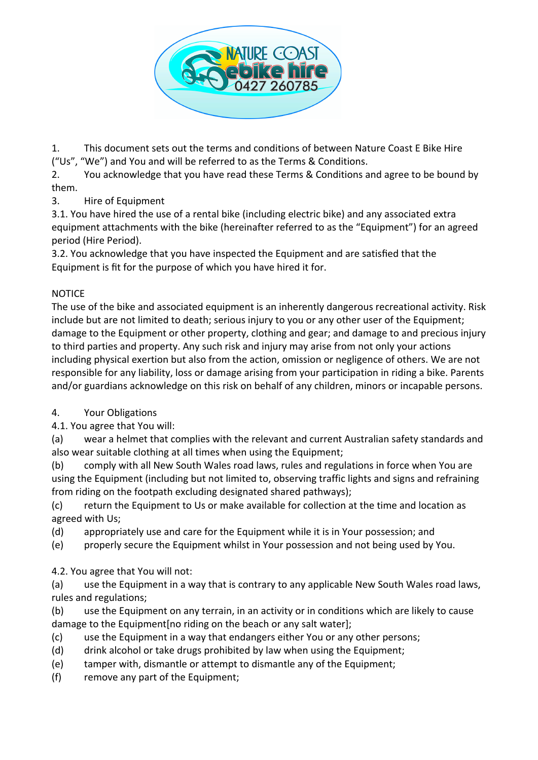

1. This document sets out the terms and conditions of between Nature Coast E Bike Hire ("Us", "We") and You and will be referred to as the Terms & Conditions.

2. You acknowledge that you have read these Terms & Conditions and agree to be bound by them.

3. Hire of Equipment

3.1. You have hired the use of a rental bike (including electric bike) and any associated extra equipment attachments with the bike (hereinafter referred to as the "Equipment") for an agreed period (Hire Period).

3.2. You acknowledge that you have inspected the Equipment and are satisfied that the Equipment is fit for the purpose of which you have hired it for.

## NOTICE

The use of the bike and associated equipment is an inherently dangerous recreational activity. Risk include but are not limited to death; serious injury to you or any other user of the Equipment; damage to the Equipment or other property, clothing and gear; and damage to and precious injury to third parties and property. Any such risk and injury may arise from not only your actions including physical exertion but also from the action, omission or negligence of others. We are not responsible for any liability, loss or damage arising from your participation in riding a bike. Parents and/or guardians acknowledge on this risk on behalf of any children, minors or incapable persons.

# 4. Your Obligations

4.1. You agree that You will:

(a) wear a helmet that complies with the relevant and current Australian safety standards and also wear suitable clothing at all times when using the Equipment;

(b) comply with all New South Wales road laws, rules and regulations in force when You are using the Equipment (including but not limited to, observing traffic lights and signs and refraining from riding on the footpath excluding designated shared pathways);

(c) return the Equipment to Us or make available for collection at the time and location as agreed with Us;

(d) appropriately use and care for the Equipment while it is in Your possession; and

(e) properly secure the Equipment whilst in Your possession and not being used by You.

4.2. You agree that You will not:

(a) use the Equipment in a way that is contrary to any applicable New South Wales road laws, rules and regulations;

(b) use the Equipment on any terrain, in an activity or in conditions which are likely to cause damage to the Equipment[no riding on the beach or any salt water];

- (c) use the Equipment in a way that endangers either You or any other persons;
- (d) drink alcohol or take drugs prohibited by law when using the Equipment;
- (e) tamper with, dismantle or attempt to dismantle any of the Equipment;
- (f) remove any part of the Equipment;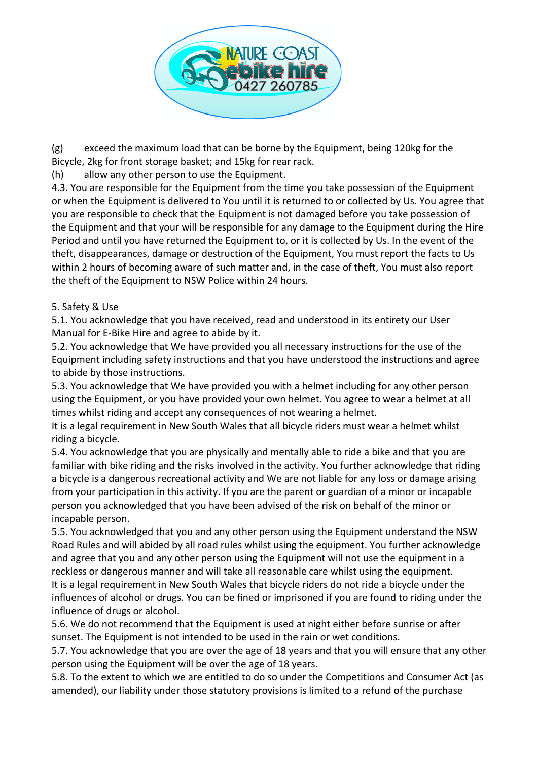

(g) exceed the maximum load that can be borne by the Equipment, being 120kg for the Bicycle, 2kg for front storage basket; and 15kg for rear rack.

(h) allow any other person to use the Equipment.

4.3. You are responsible for the Equipment from the time you take possession of the Equipment or when the Equipment is delivered to You until it is returned to or collected by Us. You agree that you are responsible to check that the Equipment is not damaged before you take possession of the Equipment and that your will be responsible for any damage to the Equipment during the Hire Period and until you have returned the Equipment to, or it is collected by Us. In the event of the theft, disappearances, damage or destruction of the Equipment, You must report the facts to Us within 2 hours of becoming aware of such matter and, in the case of theft, You must also report the theft of the Equipment to NSW Police within 24 hours.

### 5. Safety & Use

5.1. You acknowledge that you have received, read and understood in its entirety our User Manual for E-Bike Hire and agree to abide by it.

5.2. You acknowledge that We have provided you all necessary instructions for the use of the Equipment including safety instructions and that you have understood the instructions and agree to abide by those instructions.

5.3. You acknowledge that We have provided you with a helmet including for any other person using the Equipment, or you have provided your own helmet. You agree to wear a helmet at all times whilst riding and accept any consequences of not wearing a helmet.

It is a legal requirement in New South Wales that all bicycle riders must wear a helmet whilst riding a bicycle.

5.4. You acknowledge that you are physically and mentally able to ride a bike and that you are familiar with bike riding and the risks involved in the activity. You further acknowledge that riding a bicycle is a dangerous recreational activity and We are not liable for any loss or damage arising from your participation in this activity. If you are the parent or guardian of a minor or incapable person you acknowledged that you have been advised of the risk on behalf of the minor or incapable person.

5.5. You acknowledged that you and any other person using the Equipment understand the NSW Road Rules and will abided by all road rules whilst using the equipment. You further acknowledge and agree that you and any other person using the Equipment will not use the equipment in a reckless or dangerous manner and will take all reasonable care whilst using the equipment. It is a legal requirement in New South Wales that bicycle riders do not ride a bicycle under the influences of alcohol or drugs. You can be fined or imprisoned if you are found to riding under the influence of drugs or alcohol.

5.6. We do not recommend that the Equipment is used at night either before sunrise or after sunset. The Equipment is not intended to be used in the rain or wet conditions.

5.7. You acknowledge that you are over the age of 18 years and that you will ensure that any other person using the Equipment will be over the age of 18 years.

5.8. To the extent to which we are entitled to do so under the Competitions and Consumer Act (as amended), our liability under those statutory provisions is limited to a refund of the purchase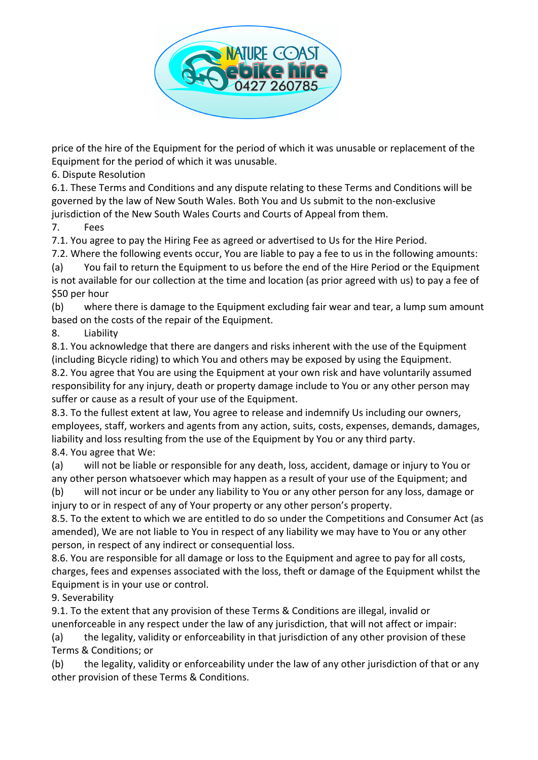

price of the hire of the Equipment for the period of which it was unusable or replacement of the Equipment for the period of which it was unusable.

6. Dispute Resolution

6.1. These Terms and Conditions and any dispute relating to these Terms and Conditions will be governed by the law of New South Wales. Both You and Us submit to the non-exclusive jurisdiction of the New South Wales Courts and Courts of Appeal from them.

7. Fees

7.1. You agree to pay the Hiring Fee as agreed or advertised to Us for the Hire Period.

7.2. Where the following events occur, You are liable to pay a fee to us in the following amounts:

(a) You fail to return the Equipment to us before the end of the Hire Period or the Equipment is not available for our collection at the time and location (as prior agreed with us) to pay a fee of \$50 per hour

(b) where there is damage to the Equipment excluding fair wear and tear, a lump sum amount based on the costs of the repair of the Equipment.

8. Liability

8.1. You acknowledge that there are dangers and risks inherent with the use of the Equipment (including Bicycle riding) to which You and others may be exposed by using the Equipment. 8.2. You agree that You are using the Equipment at your own risk and have voluntarily assumed responsibility for any injury, death or property damage include to You or any other person may

suffer or cause as a result of your use of the Equipment.

8.3. To the fullest extent at law, You agree to release and indemnify Us including our owners, employees, staff, workers and agents from any action, suits, costs, expenses, demands, damages, liability and loss resulting from the use of the Equipment by You or any third party. 8.4. You agree that We:

(a) will not be liable or responsible for any death, loss, accident, damage or injury to You or any other person whatsoever which may happen as a result of your use of the Equipment; and

(b) will not incur or be under any liability to You or any other person for any loss, damage or injury to or in respect of any of Your property or any other person's property.

8.5. To the extent to which we are entitled to do so under the Competitions and Consumer Act (as amended), We are not liable to You in respect of any liability we may have to You or any other person, in respect of any indirect or consequential loss.

8.6. You are responsible for all damage or loss to the Equipment and agree to pay for all costs, charges, fees and expenses associated with the loss, theft or damage of the Equipment whilst the Equipment is in your use or control.

9. Severability

9.1. To the extent that any provision of these Terms & Conditions are illegal, invalid or unenforceable in any respect under the law of any jurisdiction, that will not affect or impair:

(a) the legality, validity or enforceability in that jurisdiction of any other provision of these Terms & Conditions; or

(b) the legality, validity or enforceability under the law of any other jurisdiction of that or any other provision of these Terms & Conditions.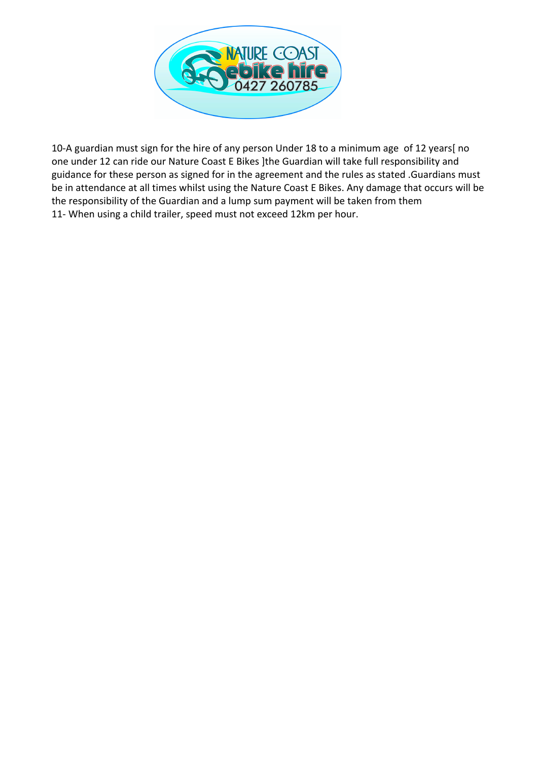

10-A guardian must sign for the hire of any person Under 18 to a minimum age of 12 years[ no one under 12 can ride our Nature Coast E Bikes ]the Guardian will take full responsibility and guidance for these person as signed for in the agreement and the rules as stated .Guardians must be in attendance at all times whilst using the Nature Coast E Bikes. Any damage that occurs will be the responsibility of the Guardian and a lump sum payment will be taken from them 11- When using a child trailer, speed must not exceed 12km per hour.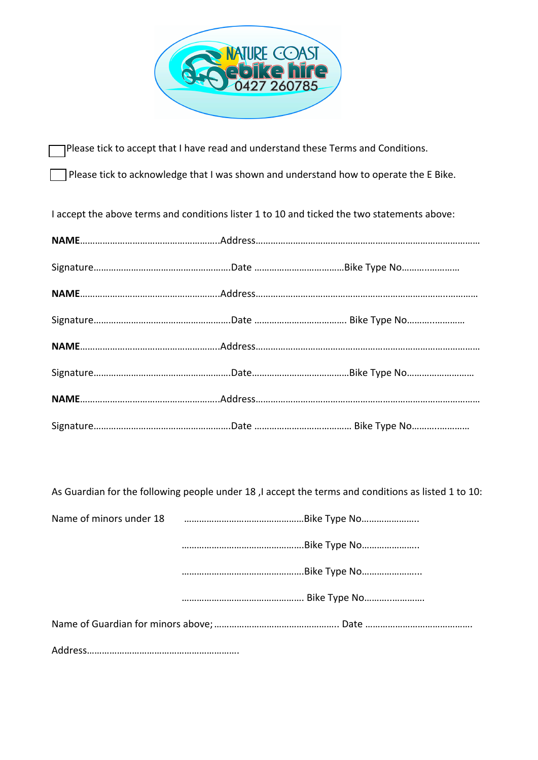

Please tick to accept that I have read and understand these Terms and Conditions.

Please tick to acknowledge that I was shown and understand how to operate the E Bike.

I accept the above terms and conditions lister 1 to 10 and ticked the two statements above:

As Guardian for the following people under 18 ,I accept the terms and conditions as listed 1 to 10: